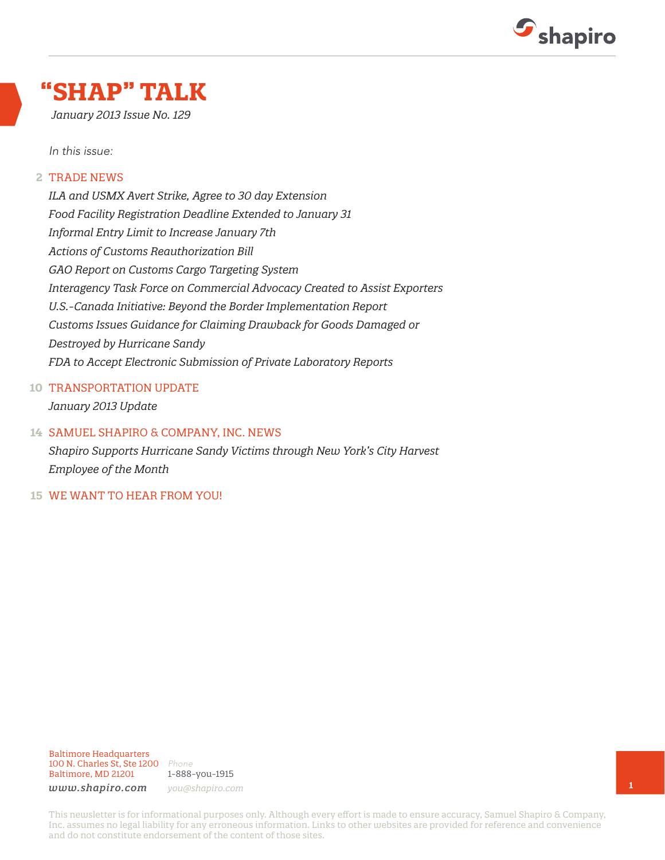

## **"SHAP" TALK**

*January 2013 Issue No. 129*

*In this issue:*

#### TRADE NEWS **2**

*ILA and USMX Avert Strike, Agree to 30 day Extension Food Facility Registration Deadline Extended to January 31 Informal Entry Limit to Increase January 7th Actions of Customs Reauthorization Bill GAO Report on Customs Cargo Targeting System Interagency Task Force on Commercial Advocacy Created to Assist Exporters U.S.-Canada Initiative: Beyond the Border Implementation Report Customs Issues Guidance for Claiming Drawback for Goods Damaged or Destroyed by Hurricane Sandy FDA to Accept Electronic Submission of Private Laboratory Reports*

#### 10 TRANSPORTATION UPDATE

*January 2013 Update*

#### SAMUEL SHAPIRO & COMPANY, INC. NEWS **14**

*Shapiro Supports Hurricane Sandy Victims through New York's City Harvest Employee of the Month*

WE WANT TO HEAR FROM YOU! **15**

#### Baltimore Headquarters 100 N. Charles St, Ste 1200 *Phone* Baltimore, MD 21201

1-888-you-1915 *www.shapiro.com you@shapiro.com*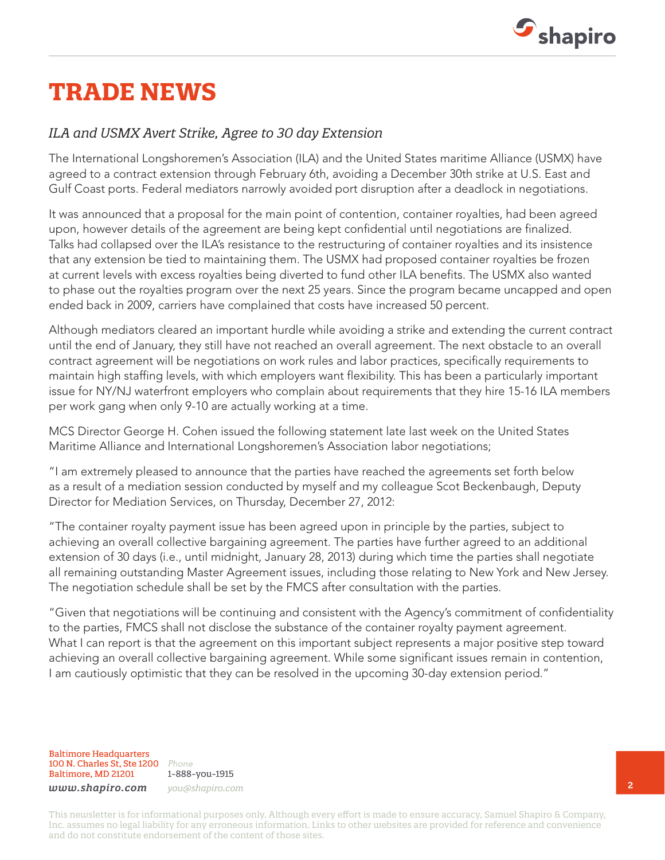

## **TRADE NEWS**

#### *ILA and USMX Avert Strike, Agree to 30 day Extension*

The International Longshoremen's Association (ILA) and the United States maritime Alliance (USMX) have agreed to a contract extension through February 6th, avoiding a December 30th strike at U.S. East and Gulf Coast ports. Federal mediators narrowly avoided port disruption after a deadlock in negotiations.

It was announced that a proposal for the main point of contention, container royalties, had been agreed upon, however details of the agreement are being kept confidential until negotiations are finalized. Talks had collapsed over the ILA's resistance to the restructuring of container royalties and its insistence that any extension be tied to maintaining them. The USMX had proposed container royalties be frozen at current levels with excess royalties being diverted to fund other ILA benefits. The USMX also wanted to phase out the royalties program over the next 25 years. Since the program became uncapped and open ended back in 2009, carriers have complained that costs have increased 50 percent.

Although mediators cleared an important hurdle while avoiding a strike and extending the current contract until the end of January, they still have not reached an overall agreement. The next obstacle to an overall contract agreement will be negotiations on work rules and labor practices, specifically requirements to maintain high staffing levels, with which employers want flexibility. This has been a particularly important issue for NY/NJ waterfront employers who complain about requirements that they hire 15-16 ILA members per work gang when only 9-10 are actually working at a time.

MCS Director George H. Cohen issued the following statement late last week on the United States Maritime Alliance and International Longshoremen's Association labor negotiations;

"I am extremely pleased to announce that the parties have reached the agreements set forth below as a result of a mediation session conducted by myself and my colleague Scot Beckenbaugh, Deputy Director for Mediation Services, on Thursday, December 27, 2012:

"The container royalty payment issue has been agreed upon in principle by the parties, subject to achieving an overall collective bargaining agreement. The parties have further agreed to an additional extension of 30 days (i.e., until midnight, January 28, 2013) during which time the parties shall negotiate all remaining outstanding Master Agreement issues, including those relating to New York and New Jersey. The negotiation schedule shall be set by the FMCS after consultation with the parties.

"Given that negotiations will be continuing and consistent with the Agency's commitment of confidentiality to the parties, FMCS shall not disclose the substance of the container royalty payment agreement. What I can report is that the agreement on this important subject represents a major positive step toward achieving an overall collective bargaining agreement. While some significant issues remain in contention, I am cautiously optimistic that they can be resolved in the upcoming 30-day extension period."

Baltimore Headquarters 100 N. Charles St, Ste 1200 *Phone* Baltimore, MD 21201

1-888-you-1915 *www.shapiro.com you@shapiro.com*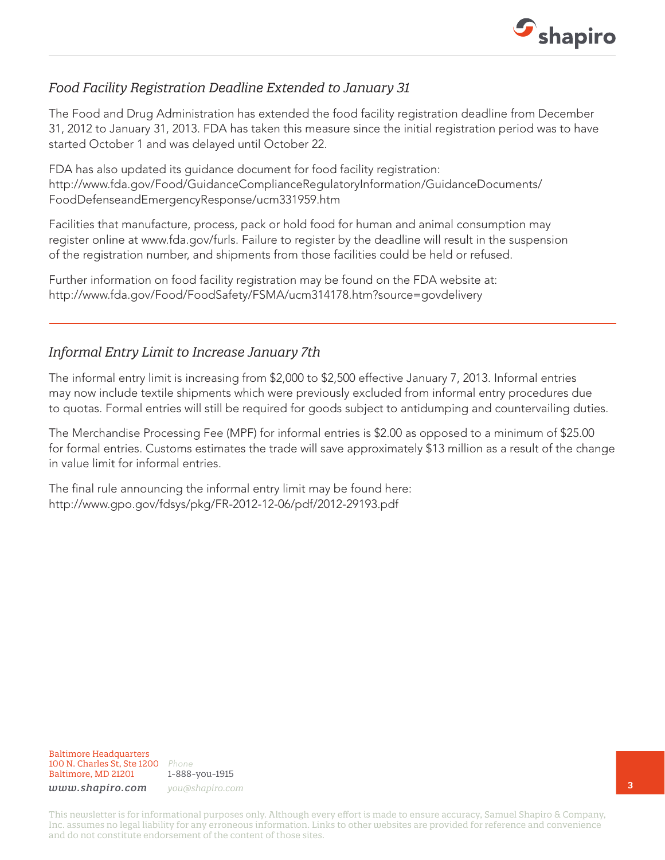

### *Food Facility Registration Deadline Extended to January 31*

The Food and Drug Administration has extended the food facility registration deadline from December 31, 2012 to January 31, 2013. FDA has taken this measure since the initial registration period was to have started October 1 and was delayed until October 22.

FDA has also updated its guidance document for food facility registration: http://www.fda.gov/Food/GuidanceComplianceRegulatoryInformation/GuidanceDocuments/ FoodDefenseandEmergencyResponse/ucm331959.htm

Facilities that manufacture, process, pack or hold food for human and animal consumption may register online at www.fda.gov/furls. Failure to register by the deadline will result in the suspension of the registration number, and shipments from those facilities could be held or refused.

Further information on food facility registration may be found on the FDA website at: http://www.fda.gov/Food/FoodSafety/FSMA/ucm314178.htm?source=govdelivery

### *Informal Entry Limit to Increase January 7th*

The informal entry limit is increasing from \$2,000 to \$2,500 effective January 7, 2013. Informal entries may now include textile shipments which were previously excluded from informal entry procedures due to quotas. Formal entries will still be required for goods subject to antidumping and countervailing duties.

The Merchandise Processing Fee (MPF) for informal entries is \$2.00 as opposed to a minimum of \$25.00 for formal entries. Customs estimates the trade will save approximately \$13 million as a result of the change in value limit for informal entries.

The final rule announcing the informal entry limit may be found here: http://www.gpo.gov/fdsys/pkg/FR-2012-12-06/pdf/2012-29193.pdf

Baltimore Headquarters 100 N. Charles St, Ste 1200 *Phone* Baltimore, MD 21201

1-888-you-1915 *www.shapiro.com you@shapiro.com*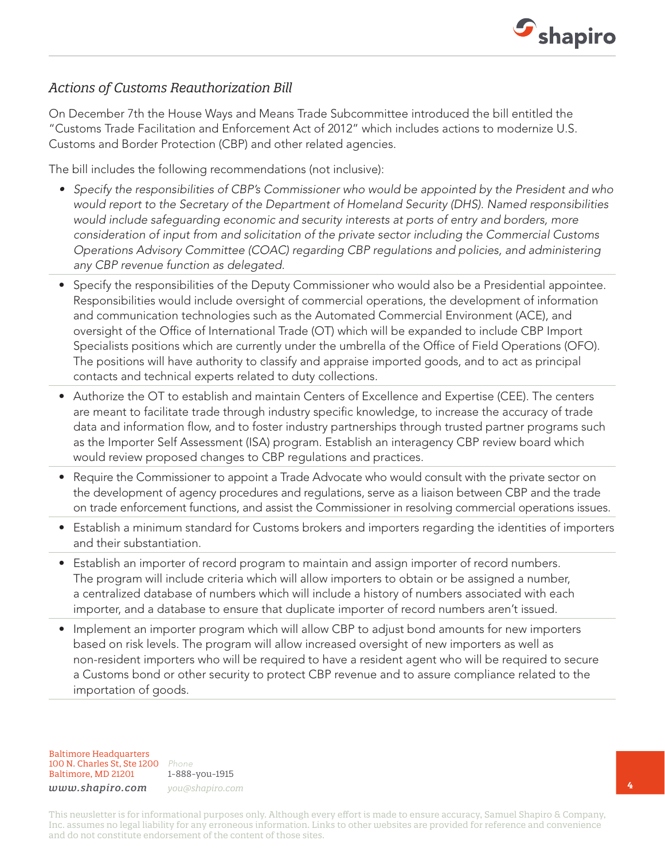

### *Actions of Customs Reauthorization Bill*

On December 7th the House Ways and Means Trade Subcommittee introduced the bill entitled the "Customs Trade Facilitation and Enforcement Act of 2012" which includes actions to modernize U.S. Customs and Border Protection (CBP) and other related agencies.

The bill includes the following recommendations (not inclusive):

- *• Specify the responsibilities of CBP's Commissioner who would be appointed by the President and who would report to the Secretary of the Department of Homeland Security (DHS). Named responsibilities would include safeguarding economic and security interests at ports of entry and borders, more consideration of input from and solicitation of the private sector including the Commercial Customs Operations Advisory Committee (COAC) regarding CBP regulations and policies, and administering any CBP revenue function as delegated.*
- Specify the responsibilities of the Deputy Commissioner who would also be a Presidential appointee. Responsibilities would include oversight of commercial operations, the development of information and communication technologies such as the Automated Commercial Environment (ACE), and oversight of the Office of International Trade (OT) which will be expanded to include CBP Import Specialists positions which are currently under the umbrella of the Office of Field Operations (OFO). The positions will have authority to classify and appraise imported goods, and to act as principal contacts and technical experts related to duty collections.
- Authorize the OT to establish and maintain Centers of Excellence and Expertise (CEE). The centers are meant to facilitate trade through industry specific knowledge, to increase the accuracy of trade data and information flow, and to foster industry partnerships through trusted partner programs such as the Importer Self Assessment (ISA) program. Establish an interagency CBP review board which would review proposed changes to CBP regulations and practices.
- Require the Commissioner to appoint a Trade Advocate who would consult with the private sector on the development of agency procedures and regulations, serve as a liaison between CBP and the trade on trade enforcement functions, and assist the Commissioner in resolving commercial operations issues.
- Establish a minimum standard for Customs brokers and importers regarding the identities of importers and their substantiation.
- Establish an importer of record program to maintain and assign importer of record numbers. The program will include criteria which will allow importers to obtain or be assigned a number, a centralized database of numbers which will include a history of numbers associated with each importer, and a database to ensure that duplicate importer of record numbers aren't issued.
- Implement an importer program which will allow CBP to adjust bond amounts for new importers based on risk levels. The program will allow increased oversight of new importers as well as non-resident importers who will be required to have a resident agent who will be required to secure a Customs bond or other security to protect CBP revenue and to assure compliance related to the importation of goods.

Baltimore Headquarters 100 N. Charles St, Ste 1200 *Phone* Baltimore, MD 21201

1-888-you-1915 *www.shapiro.com you@shapiro.com*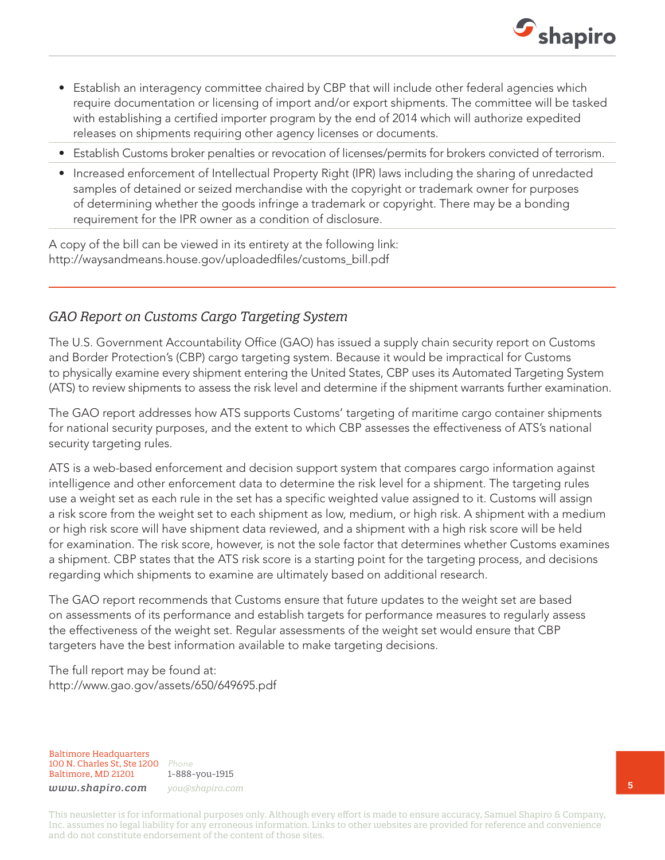

- Establish an interagency committee chaired by CBP that will include other federal agencies which require documentation or licensing of import and/or export shipments. The committee will be tasked with establishing a certified importer program by the end of 2014 which will authorize expedited releases on shipments requiring other agency licenses or documents.
- Establish Customs broker penalties or revocation of licenses/permits for brokers convicted of terrorism.
- Increased enforcement of Intellectual Property Right (IPR) laws including the sharing of unredacted samples of detained or seized merchandise with the copyright or trademark owner for purposes of determining whether the goods infringe a trademark or copyright. There may be a bonding requirement for the IPR owner as a condition of disclosure.

A copy of the bill can be viewed in its entirety at the following link: http://waysandmeans.house.gov/uploadedfiles/customs\_bill.pdf

### *GAO Report on Customs Cargo Targeting System*

The U.S. Government Accountability Office (GAO) has issued a supply chain security report on Customs and Border Protection's (CBP) cargo targeting system. Because it would be impractical for Customs to physically examine every shipment entering the United States, CBP uses its Automated Targeting System (ATS) to review shipments to assess the risk level and determine if the shipment warrants further examination.

The GAO report addresses how ATS supports Customs' targeting of maritime cargo container shipments for national security purposes, and the extent to which CBP assesses the effectiveness of ATS's national security targeting rules.

ATS is a web-based enforcement and decision support system that compares cargo information against intelligence and other enforcement data to determine the risk level for a shipment. The targeting rules use a weight set as each rule in the set has a specific weighted value assigned to it. Customs will assign a risk score from the weight set to each shipment as low, medium, or high risk. A shipment with a medium or high risk score will have shipment data reviewed, and a shipment with a high risk score will be held for examination. The risk score, however, is not the sole factor that determines whether Customs examines a shipment. CBP states that the ATS risk score is a starting point for the targeting process, and decisions regarding which shipments to examine are ultimately based on additional research.

The GAO report recommends that Customs ensure that future updates to the weight set are based on assessments of its performance and establish targets for performance measures to regularly assess the effectiveness of the weight set. Regular assessments of the weight set would ensure that CBP targeters have the best information available to make targeting decisions.

The full report may be found at: http://www.gao.gov/assets/650/649695.pdf

Baltimore Headquarters 100 N. Charles St, Ste 1200 *Phone* Baltimore, MD 21201

1-888-you-1915 *www.shapiro.com you@shapiro.com*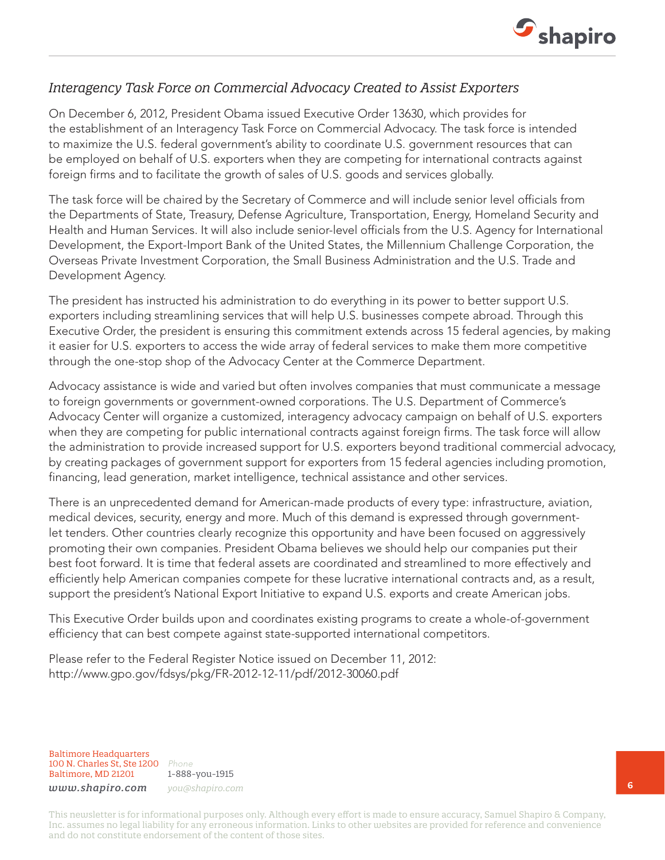

#### *Interagency Task Force on Commercial Advocacy Created to Assist Exporters*

On December 6, 2012, President Obama issued Executive Order 13630, which provides for the establishment of an Interagency Task Force on Commercial Advocacy. The task force is intended to maximize the U.S. federal government's ability to coordinate U.S. government resources that can be employed on behalf of U.S. exporters when they are competing for international contracts against foreign firms and to facilitate the growth of sales of U.S. goods and services globally.

The task force will be chaired by the Secretary of Commerce and will include senior level officials from the Departments of State, Treasury, Defense Agriculture, Transportation, Energy, Homeland Security and Health and Human Services. It will also include senior-level officials from the U.S. Agency for International Development, the Export-Import Bank of the United States, the Millennium Challenge Corporation, the Overseas Private Investment Corporation, the Small Business Administration and the U.S. Trade and Development Agency.

The president has instructed his administration to do everything in its power to better support U.S. exporters including streamlining services that will help U.S. businesses compete abroad. Through this Executive Order, the president is ensuring this commitment extends across 15 federal agencies, by making it easier for U.S. exporters to access the wide array of federal services to make them more competitive through the one-stop shop of the Advocacy Center at the Commerce Department.

Advocacy assistance is wide and varied but often involves companies that must communicate a message to foreign governments or government-owned corporations. The U.S. Department of Commerce's Advocacy Center will organize a customized, interagency advocacy campaign on behalf of U.S. exporters when they are competing for public international contracts against foreign firms. The task force will allow the administration to provide increased support for U.S. exporters beyond traditional commercial advocacy, by creating packages of government support for exporters from 15 federal agencies including promotion, financing, lead generation, market intelligence, technical assistance and other services.

There is an unprecedented demand for American-made products of every type: infrastructure, aviation, medical devices, security, energy and more. Much of this demand is expressed through governmentlet tenders. Other countries clearly recognize this opportunity and have been focused on aggressively promoting their own companies. President Obama believes we should help our companies put their best foot forward. It is time that federal assets are coordinated and streamlined to more effectively and efficiently help American companies compete for these lucrative international contracts and, as a result, support the president's National Export Initiative to expand U.S. exports and create American jobs.

This Executive Order builds upon and coordinates existing programs to create a whole-of-government efficiency that can best compete against state-supported international competitors.

Please refer to the Federal Register Notice issued on December 11, 2012: http://www.gpo.gov/fdsys/pkg/FR-2012-12-11/pdf/2012-30060.pdf

Baltimore Headquarters 100 N. Charles St, Ste 1200 *Phone* Baltimore, MD 21201

1-888-you-1915 *www.shapiro.com you@shapiro.com*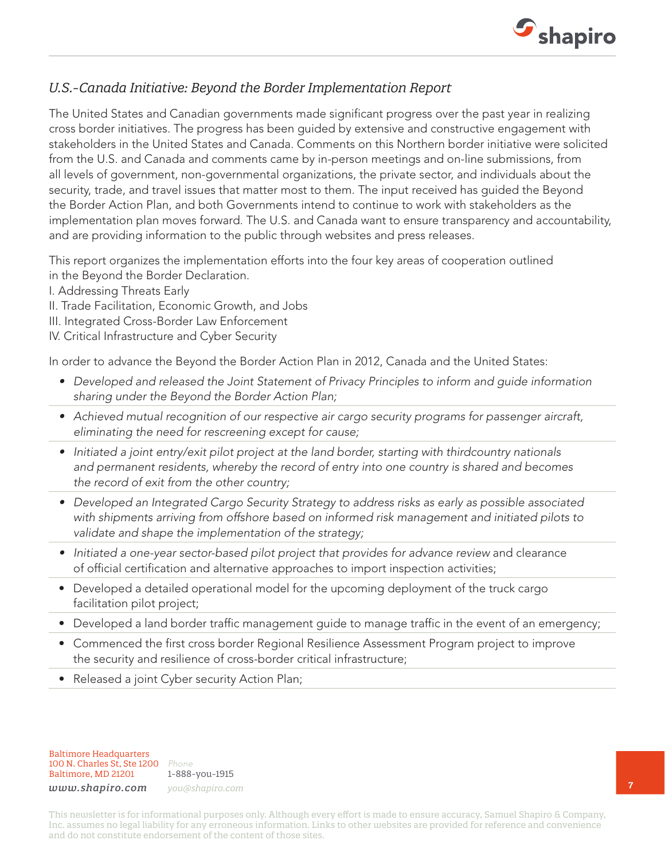

#### *U.S.-Canada Initiative: Beyond the Border Implementation Report*

The United States and Canadian governments made significant progress over the past year in realizing cross border initiatives. The progress has been guided by extensive and constructive engagement with stakeholders in the United States and Canada. Comments on this Northern border initiative were solicited from the U.S. and Canada and comments came by in-person meetings and on-line submissions, from all levels of government, non-governmental organizations, the private sector, and individuals about the security, trade, and travel issues that matter most to them. The input received has guided the Beyond the Border Action Plan, and both Governments intend to continue to work with stakeholders as the implementation plan moves forward. The U.S. and Canada want to ensure transparency and accountability, and are providing information to the public through websites and press releases.

This report organizes the implementation efforts into the four key areas of cooperation outlined in the Beyond the Border Declaration.

- I. Addressing Threats Early
- II. Trade Facilitation, Economic Growth, and Jobs
- III. Integrated Cross-Border Law Enforcement
- IV. Critical Infrastructure and Cyber Security

In order to advance the Beyond the Border Action Plan in 2012, Canada and the United States:

- Developed and released the Joint Statement of Privacy Principles to inform and quide information *sharing under the Beyond the Border Action Plan;*
- *• Achieved mutual recognition of our respective air cargo security programs for passenger aircraft, eliminating the need for rescreening except for cause;*
- *• Initiated a joint entry/exit pilot project at the land border, starting with thirdcountry nationals and permanent residents, whereby the record of entry into one country is shared and becomes the record of exit from the other country;*
- *• Developed an Integrated Cargo Security Strategy to address risks as early as possible associated with shipments arriving from offshore based on informed risk management and initiated pilots to validate and shape the implementation of the strategy;*
- Initiated a one-year sector-based pilot project that provides for advance review and clearance of official certification and alternative approaches to import inspection activities;
- Developed a detailed operational model for the upcoming deployment of the truck cargo facilitation pilot project;
- Developed a land border traffic management guide to manage traffic in the event of an emergency;
- Commenced the first cross border Regional Resilience Assessment Program project to improve the security and resilience of cross-border critical infrastructure;
- Released a joint Cyber security Action Plan;

Baltimore Headquarters 100 N. Charles St, Ste 1200 *Phone* Baltimore, MD 21201

1-888-you-1915 *www.shapiro.com you@shapiro.com*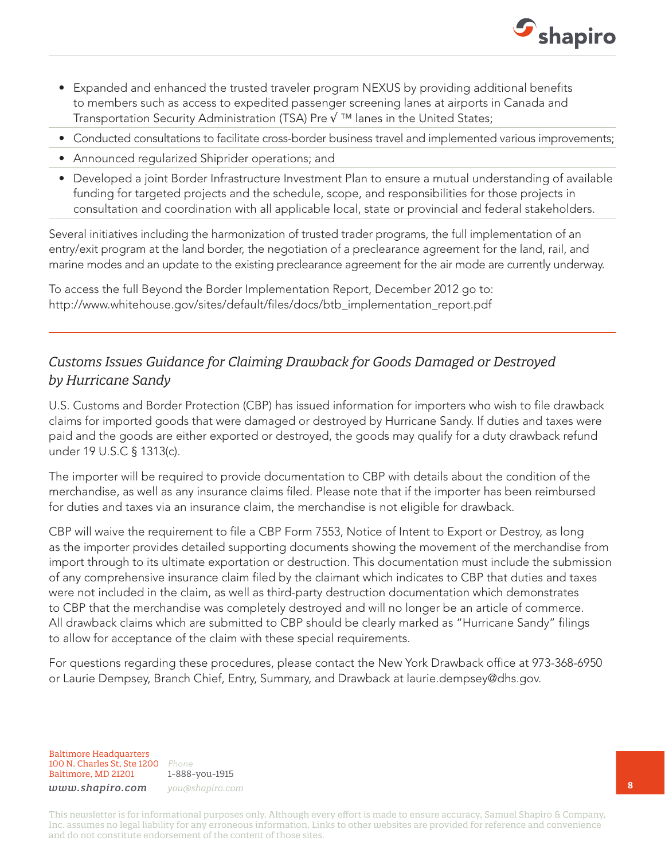

- Expanded and enhanced the trusted traveler program NEXUS by providing additional benefits to members such as access to expedited passenger screening lanes at airports in Canada and Transportation Security Administration (TSA) Pre  $\sqrt{m}$  lanes in the United States;
- Conducted consultations to facilitate cross-border business travel and implemented various improvements;
- Announced regularized Shiprider operations; and
- Developed a joint Border Infrastructure Investment Plan to ensure a mutual understanding of available funding for targeted projects and the schedule, scope, and responsibilities for those projects in consultation and coordination with all applicable local, state or provincial and federal stakeholders.

Several initiatives including the harmonization of trusted trader programs, the full implementation of an entry/exit program at the land border, the negotiation of a preclearance agreement for the land, rail, and marine modes and an update to the existing preclearance agreement for the air mode are currently underway.

To access the full Beyond the Border Implementation Report, December 2012 go to: http://www.whitehouse.gov/sites/default/files/docs/btb\_implementation\_report.pdf

### *Customs Issues Guidance for Claiming Drawback for Goods Damaged or Destroyed by Hurricane Sandy*

U.S. Customs and Border Protection (CBP) has issued information for importers who wish to file drawback claims for imported goods that were damaged or destroyed by Hurricane Sandy. If duties and taxes were paid and the goods are either exported or destroyed, the goods may qualify for a duty drawback refund under 19 U.S.C § 1313(c).

The importer will be required to provide documentation to CBP with details about the condition of the merchandise, as well as any insurance claims filed. Please note that if the importer has been reimbursed for duties and taxes via an insurance claim, the merchandise is not eligible for drawback.

CBP will waive the requirement to file a CBP Form 7553, Notice of Intent to Export or Destroy, as long as the importer provides detailed supporting documents showing the movement of the merchandise from import through to its ultimate exportation or destruction. This documentation must include the submission of any comprehensive insurance claim filed by the claimant which indicates to CBP that duties and taxes were not included in the claim, as well as third-party destruction documentation which demonstrates to CBP that the merchandise was completely destroyed and will no longer be an article of commerce. All drawback claims which are submitted to CBP should be clearly marked as "Hurricane Sandy" filings to allow for acceptance of the claim with these special requirements.

For questions regarding these procedures, please contact the New York Drawback office at 973-368-6950 or Laurie Dempsey, Branch Chief, Entry, Summary, and Drawback at laurie.dempsey@dhs.gov.

Baltimore Headquarters 100 N. Charles St, Ste 1200 *Phone* Baltimore, MD 21201

1-888-you-1915 *www.shapiro.com you@shapiro.com*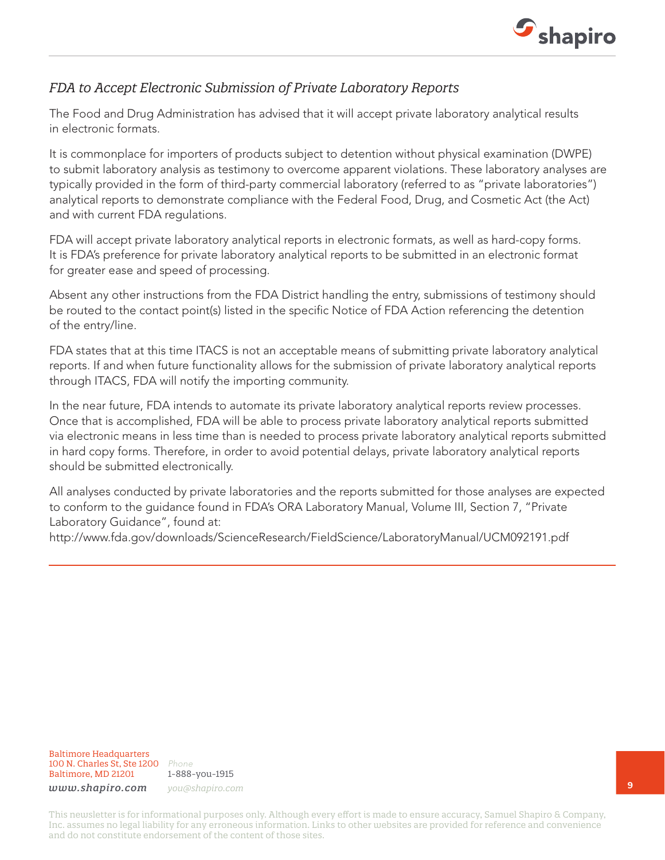

### *FDA to Accept Electronic Submission of Private Laboratory Reports*

The Food and Drug Administration has advised that it will accept private laboratory analytical results in electronic formats.

It is commonplace for importers of products subject to detention without physical examination (DWPE) to submit laboratory analysis as testimony to overcome apparent violations. These laboratory analyses are typically provided in the form of third-party commercial laboratory (referred to as "private laboratories") analytical reports to demonstrate compliance with the Federal Food, Drug, and Cosmetic Act (the Act) and with current FDA regulations.

FDA will accept private laboratory analytical reports in electronic formats, as well as hard-copy forms. It is FDA's preference for private laboratory analytical reports to be submitted in an electronic format for greater ease and speed of processing.

Absent any other instructions from the FDA District handling the entry, submissions of testimony should be routed to the contact point(s) listed in the specific Notice of FDA Action referencing the detention of the entry/line.

FDA states that at this time ITACS is not an acceptable means of submitting private laboratory analytical reports. If and when future functionality allows for the submission of private laboratory analytical reports through ITACS, FDA will notify the importing community.

In the near future, FDA intends to automate its private laboratory analytical reports review processes. Once that is accomplished, FDA will be able to process private laboratory analytical reports submitted via electronic means in less time than is needed to process private laboratory analytical reports submitted in hard copy forms. Therefore, in order to avoid potential delays, private laboratory analytical reports should be submitted electronically.

All analyses conducted by private laboratories and the reports submitted for those analyses are expected to conform to the guidance found in FDA's ORA Laboratory Manual, Volume III, Section 7, "Private Laboratory Guidance", found at:

http://www.fda.gov/downloads/ScienceResearch/FieldScience/LaboratoryManual/UCM092191.pdf

#### Baltimore Headquarters 100 N. Charles St, Ste 1200 *Phone* Baltimore, MD 21201

1-888-you-1915 *www.shapiro.com you@shapiro.com*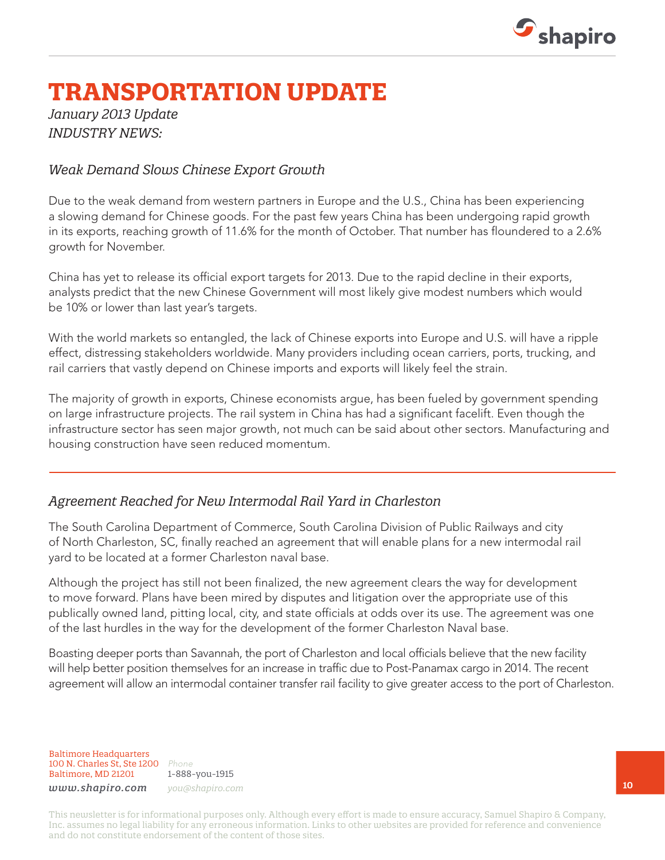

## **TRANSPORTATION UPDATE**

*January 2013 Update INDUSTRY NEWS:*

#### *Weak Demand Slows Chinese Export Growth*

Due to the weak demand from western partners in Europe and the U.S., China has been experiencing a slowing demand for Chinese goods. For the past few years China has been undergoing rapid growth in its exports, reaching growth of 11.6% for the month of October. That number has floundered to a 2.6% growth for November.

China has yet to release its official export targets for 2013. Due to the rapid decline in their exports, analysts predict that the new Chinese Government will most likely give modest numbers which would be 10% or lower than last year's targets.

With the world markets so entangled, the lack of Chinese exports into Europe and U.S. will have a ripple effect, distressing stakeholders worldwide. Many providers including ocean carriers, ports, trucking, and rail carriers that vastly depend on Chinese imports and exports will likely feel the strain.

The majority of growth in exports, Chinese economists argue, has been fueled by government spending on large infrastructure projects. The rail system in China has had a significant facelift. Even though the infrastructure sector has seen major growth, not much can be said about other sectors. Manufacturing and housing construction have seen reduced momentum.

### *Agreement Reached for New Intermodal Rail Yard in Charleston*

The South Carolina Department of Commerce, South Carolina Division of Public Railways and city of North Charleston, SC, finally reached an agreement that will enable plans for a new intermodal rail yard to be located at a former Charleston naval base.

Although the project has still not been finalized, the new agreement clears the way for development to move forward. Plans have been mired by disputes and litigation over the appropriate use of this publically owned land, pitting local, city, and state officials at odds over its use. The agreement was one of the last hurdles in the way for the development of the former Charleston Naval base.

Boasting deeper ports than Savannah, the port of Charleston and local officials believe that the new facility will help better position themselves for an increase in traffic due to Post-Panamax cargo in 2014. The recent agreement will allow an intermodal container transfer rail facility to give greater access to the port of Charleston.

Baltimore Headquarters 100 N. Charles St, Ste 1200 *Phone* Baltimore, MD 21201

1-888-you-1915 *www.shapiro.com you@shapiro.com*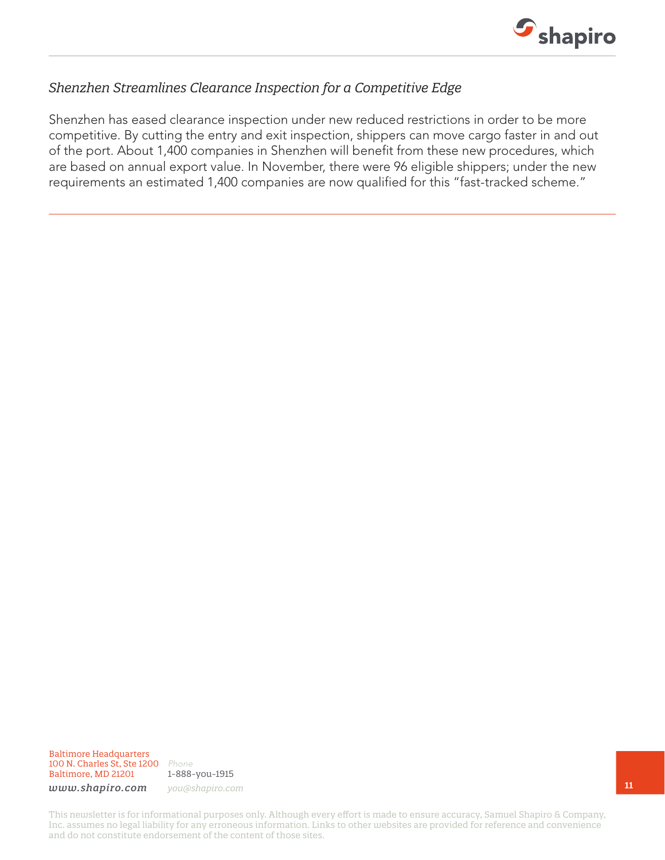

### *Shenzhen Streamlines Clearance Inspection for a Competitive Edge*

Shenzhen has eased clearance inspection under new reduced restrictions in order to be more competitive. By cutting the entry and exit inspection, shippers can move cargo faster in and out of the port. About 1,400 companies in Shenzhen will benefit from these new procedures, which are based on annual export value. In November, there were 96 eligible shippers; under the new requirements an estimated 1,400 companies are now qualified for this "fast-tracked scheme."

Baltimore Headquarters 100 N. Charles St, Ste 1200 *Phone* Baltimore, MD 21201

1-888-you-1915

*www.shapiro.com you@shapiro.com*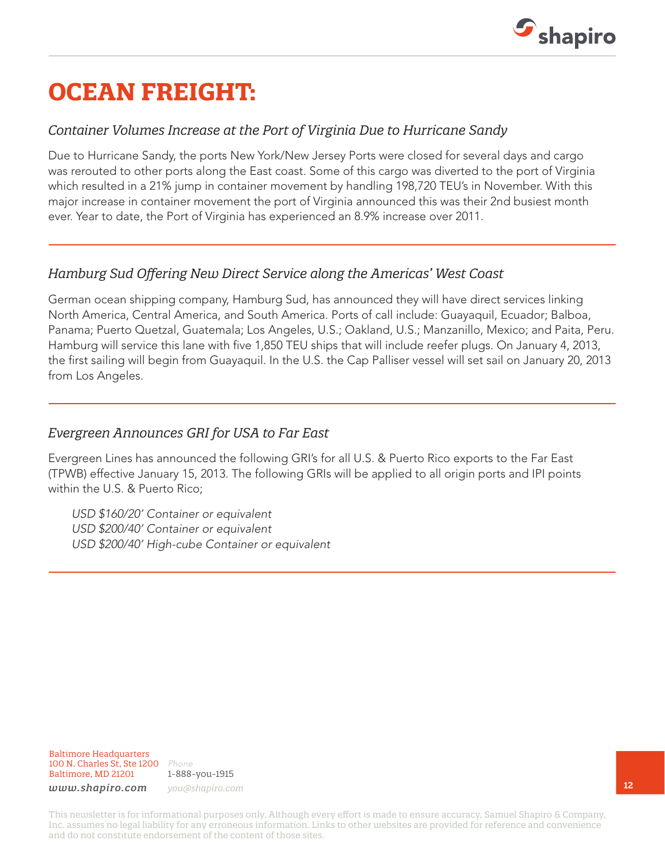

## **OCEAN FREIGHT:**

### *Container Volumes Increase at the Port of Virginia Due to Hurricane Sandy*

Due to Hurricane Sandy, the ports New York/New Jersey Ports were closed for several days and cargo was rerouted to other ports along the East coast. Some of this cargo was diverted to the port of Virginia which resulted in a 21% jump in container movement by handling 198,720 TEU's in November. With this major increase in container movement the port of Virginia announced this was their 2nd busiest month ever. Year to date, the Port of Virginia has experienced an 8.9% increase over 2011.

### *Hamburg Sud Offering New Direct Service along the Americas' West Coast*

German ocean shipping company, Hamburg Sud, has announced they will have direct services linking North America, Central America, and South America. Ports of call include: Guayaquil, Ecuador; Balboa, Panama; Puerto Quetzal, Guatemala; Los Angeles, U.S.; Oakland, U.S.; Manzanillo, Mexico; and Paita, Peru. Hamburg will service this lane with five 1,850 TEU ships that will include reefer plugs. On January 4, 2013, the first sailing will begin from Guayaquil. In the U.S. the Cap Palliser vessel will set sail on January 20, 2013 from Los Angeles.

#### *Evergreen Announces GRI for USA to Far East*

Evergreen Lines has announced the following GRI's for all U.S. & Puerto Rico exports to the Far East (TPWB) effective January 15, 2013. The following GRIs will be applied to all origin ports and IPI points within the U.S. & Puerto Rico;

*USD \$160/20' Container or equivalent USD \$200/40' Container or equivalent USD \$200/40' High-cube Container or equivalent*

Baltimore Headquarters 100 N. Charles St, Ste 1200 *Phone* Baltimore, MD 21201

1-888-you-1915 *www.shapiro.com you@shapiro.com*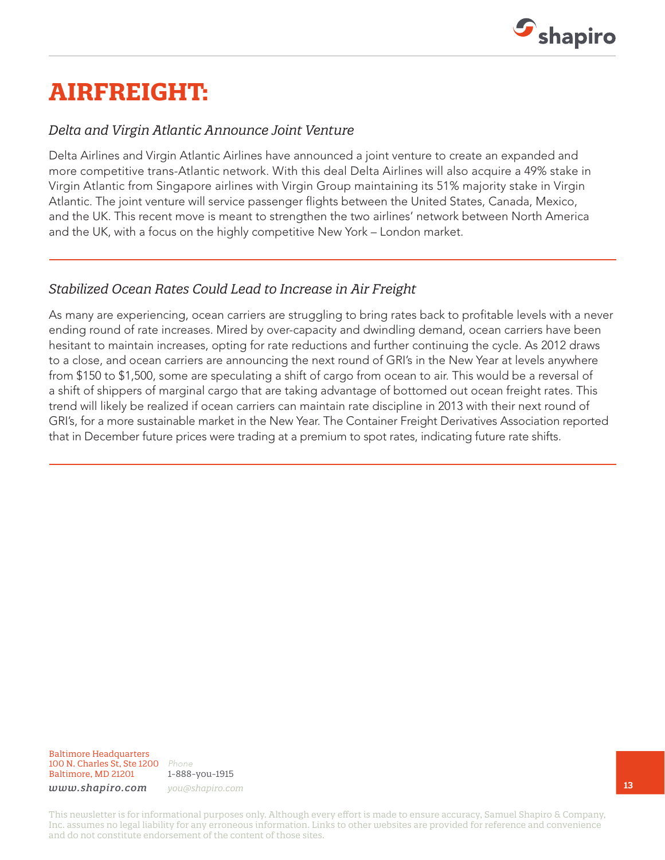

## **AIRFREIGHT:**

#### *Delta and Virgin Atlantic Announce Joint Venture*

Delta Airlines and Virgin Atlantic Airlines have announced a joint venture to create an expanded and more competitive trans-Atlantic network. With this deal Delta Airlines will also acquire a 49% stake in Virgin Atlantic from Singapore airlines with Virgin Group maintaining its 51% majority stake in Virgin Atlantic. The joint venture will service passenger flights between the United States, Canada, Mexico, and the UK. This recent move is meant to strengthen the two airlines' network between North America and the UK, with a focus on the highly competitive New York – London market.

### *Stabilized Ocean Rates Could Lead to Increase in Air Freight*

As many are experiencing, ocean carriers are struggling to bring rates back to profitable levels with a never ending round of rate increases. Mired by over-capacity and dwindling demand, ocean carriers have been hesitant to maintain increases, opting for rate reductions and further continuing the cycle. As 2012 draws to a close, and ocean carriers are announcing the next round of GRI's in the New Year at levels anywhere from \$150 to \$1,500, some are speculating a shift of cargo from ocean to air. This would be a reversal of a shift of shippers of marginal cargo that are taking advantage of bottomed out ocean freight rates. This trend will likely be realized if ocean carriers can maintain rate discipline in 2013 with their next round of GRI's, for a more sustainable market in the New Year. The Container Freight Derivatives Association reported that in December future prices were trading at a premium to spot rates, indicating future rate shifts.

Baltimore Headquarters 100 N. Charles St, Ste 1200 *Phone* Baltimore, MD 21201

1-888-you-1915

*www.shapiro.com you@shapiro.com*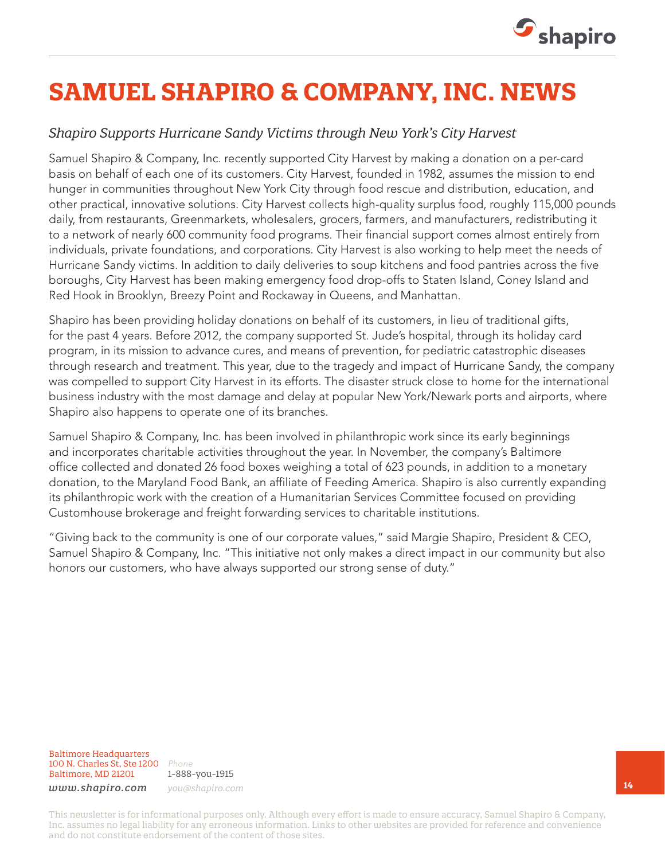

# **SAMUEL SHAPIRO & COMPANY, INC. NEWS**

### *Shapiro Supports Hurricane Sandy Victims through New York's City Harvest*

Samuel Shapiro & Company, Inc. recently supported City Harvest by making a donation on a per-card basis on behalf of each one of its customers. City Harvest, founded in 1982, assumes the mission to end hunger in communities throughout New York City through food rescue and distribution, education, and other practical, innovative solutions. City Harvest collects high-quality surplus food, roughly 115,000 pounds daily, from restaurants, Greenmarkets, wholesalers, grocers, farmers, and manufacturers, redistributing it to a network of nearly 600 community food programs. Their financial support comes almost entirely from individuals, private foundations, and corporations. City Harvest is also working to help meet the needs of Hurricane Sandy victims. In addition to daily deliveries to soup kitchens and food pantries across the five boroughs, City Harvest has been making emergency food drop-offs to Staten Island, Coney Island and Red Hook in Brooklyn, Breezy Point and Rockaway in Queens, and Manhattan.

Shapiro has been providing holiday donations on behalf of its customers, in lieu of traditional gifts, for the past 4 years. Before 2012, the company supported St. Jude's hospital, through its holiday card program, in its mission to advance cures, and means of prevention, for pediatric catastrophic diseases through research and treatment. This year, due to the tragedy and impact of Hurricane Sandy, the company was compelled to support City Harvest in its efforts. The disaster struck close to home for the international business industry with the most damage and delay at popular New York/Newark ports and airports, where Shapiro also happens to operate one of its branches.

Samuel Shapiro & Company, Inc. has been involved in philanthropic work since its early beginnings and incorporates charitable activities throughout the year. In November, the company's Baltimore office collected and donated 26 food boxes weighing a total of 623 pounds, in addition to a monetary donation, to the Maryland Food Bank, an affiliate of Feeding America. Shapiro is also currently expanding its philanthropic work with the creation of a Humanitarian Services Committee focused on providing Customhouse brokerage and freight forwarding services to charitable institutions.

"Giving back to the community is one of our corporate values," said Margie Shapiro, President & CEO, Samuel Shapiro & Company, Inc. "This initiative not only makes a direct impact in our community but also honors our customers, who have always supported our strong sense of duty."

#### Baltimore Headquarters 100 N. Charles St, Ste 1200 *Phone* Baltimore, MD 21201

1-888-you-1915 *www.shapiro.com you@shapiro.com*